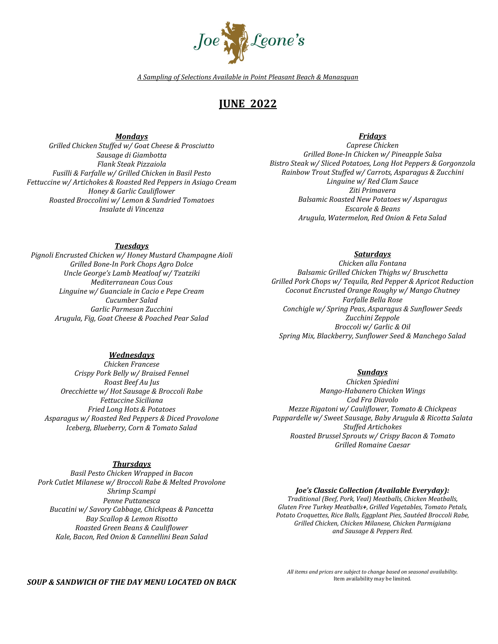

*A Sampling of Selections Available in Point Pleasant Beach & Manasquan*

# **JUNE 2022**

*Mondays*

*Grilled Chicken Stuffed w/ Goat Cheese & Prosciutto Sausage di Giambotta Flank Steak Pizzaiola Fusilli & Farfalle w/ Grilled Chicken in Basil Pesto Fettuccine w/ Artichokes & Roasted Red Peppers in Asiago Cream Honey & Garlic Cauliflower Roasted Broccolini w/ Lemon & Sundried Tomatoes Insalate di Vincenza*

# *Fridays*

*Caprese Chicken Grilled Bone-In Chicken w/ Pineapple Salsa Bistro Steak w/ Sliced Potatoes, Long Hot Peppers & Gorgonzola Rainbow Trout Stuffed w/ Carrots, Asparagus & Zucchini Linguine w/ Red Clam Sauce Ziti Primavera Balsamic Roasted New Potatoes w/ Asparagus Escarole & Beans Arugula, Watermelon, Red Onion & Feta Salad*

## *Tuesdays*

*Pignoli Encrusted Chicken w/ Honey Mustard Champagne Aioli Grilled Bone-In Pork Chops Agro Dolce Uncle George's Lamb Meatloaf w/ Tzatziki Mediterranean Cous Cous Linguine w/ Guanciale in Cacio e Pepe Cream Cucumber Salad Garlic Parmesan Zucchini Arugula, Fig, Goat Cheese & Poached Pear Salad*

# *Saturdays*

*Chicken alla Fontana Balsamic Grilled Chicken Thighs w/ Bruschetta Grilled Pork Chops w/ Tequila, Red Pepper & Apricot Reduction Coconut Encrusted Orange Roughy w/ Mango Chutney Farfalle Bella Rose Conchigle w/ Spring Peas, Asparagus & Sunflower Seeds Zucchini Zeppole Broccoli w/ Garlic & Oil Spring Mix, Blackberry, Sunflower Seed & Manchego Salad*

## *Wednesdays*

*Chicken Francese Crispy Pork Belly w/ Braised Fennel Roast Beef Au Jus Orecchiette w/ Hot Sausage & Broccoli Rabe Fettuccine Siciliana Fried Long Hots & Potatoes Asparagus w/ Roasted Red Peppers & Diced Provolone Iceberg, Blueberry, Corn & Tomato Salad*

# *Thursdays*

*Basil Pesto Chicken Wrapped in Bacon Pork Cutlet Milanese w/ Broccoli Rabe & Melted Provolone Shrimp Scampi Penne Puttanesca Bucatini w/ Savory Cabbage, Chickpeas & Pancetta Bay Scallop & Lemon Risotto Roasted Green Beans & Cauliflower Kale, Bacon, Red Onion & Cannellini Bean Salad*

#### *Sundays*

*Chicken Spiedini Mango-Habanero Chicken Wings Cod Fra Diavolo Mezze Rigatoni w/ Cauliflower, Tomato & Chickpeas Pappardelle w/ Sweet Sausage, Baby Arugula & Ricotta Salata Stuffed Artichokes Roasted Brussel Sprouts w/ Crispy Bacon & Tomato Grilled Romaine Caesar*

#### *Joe's Classic Collection (Available Everyday):*

*Traditional (Beef, Pork, Veal) Meatballs, Chicken Meatballs, Gluten Free Turkey Meatballs+, Grilled Vegetables, Tomato Petals, Potato Croquettes, Rice Balls, Eggplant Pies, Sautéed Broccoli Rabe, Grilled Chicken, Chicken Milanese, Chicken Parmigiana and Sausage & Peppers Red.*

#### *SOUP & SANDWICH OF THE DAY MENU LOCATED ON BACK*

*All items and prices are subject to change based on seasonal availability*. Item availability may be limited.